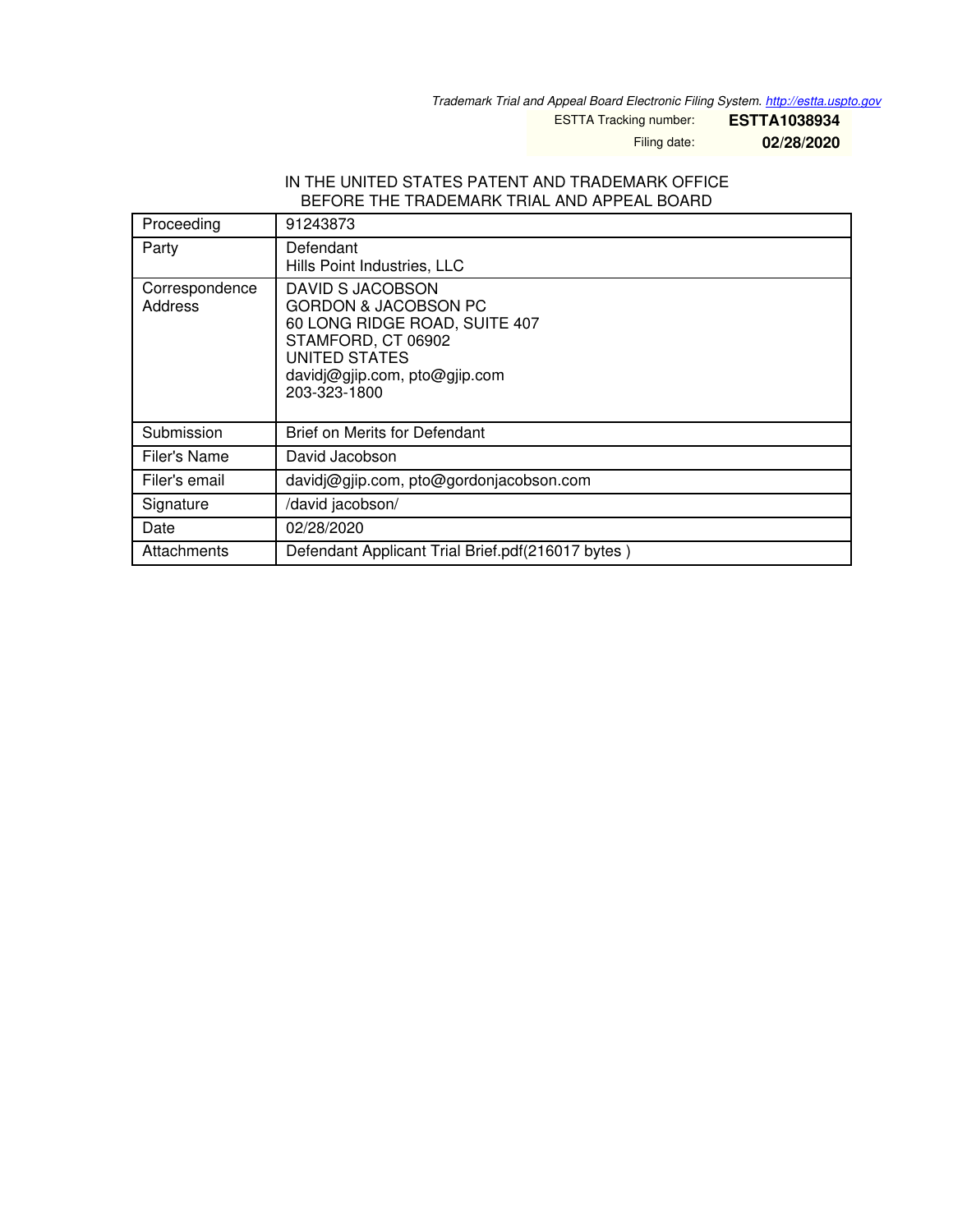*Trademark Trial and Appeal Board Electronic Filing System. <http://estta.uspto.gov>*

ESTTA Tracking number: **ESTTA1038934**

Filing date: **02/28/2020**

#### IN THE UNITED STATES PATENT AND TRADEMARK OFFICE BEFORE THE TRADEMARK TRIAL AND APPEAL BOARD

| Proceeding                | 91243873                                                                                                                                                                            |
|---------------------------|-------------------------------------------------------------------------------------------------------------------------------------------------------------------------------------|
| Party                     | Defendant<br>Hills Point Industries, LLC                                                                                                                                            |
| Correspondence<br>Address | DAVID S JACOBSON<br><b>GORDON &amp; JACOBSON PC</b><br>60 LONG RIDGE ROAD, SUITE 407<br>STAMFORD, CT 06902<br><b>UNITED STATES</b><br>davidj@gjip.com, pto@gjip.com<br>203-323-1800 |
| Submission                | <b>Brief on Merits for Defendant</b>                                                                                                                                                |
| Filer's Name              | David Jacobson                                                                                                                                                                      |
| Filer's email             | davidj@gjip.com, pto@gordonjacobson.com                                                                                                                                             |
| Signature                 | /david jacobson/                                                                                                                                                                    |
| Date                      | 02/28/2020                                                                                                                                                                          |
| Attachments               | Defendant Applicant Trial Brief.pdf(216017 bytes)                                                                                                                                   |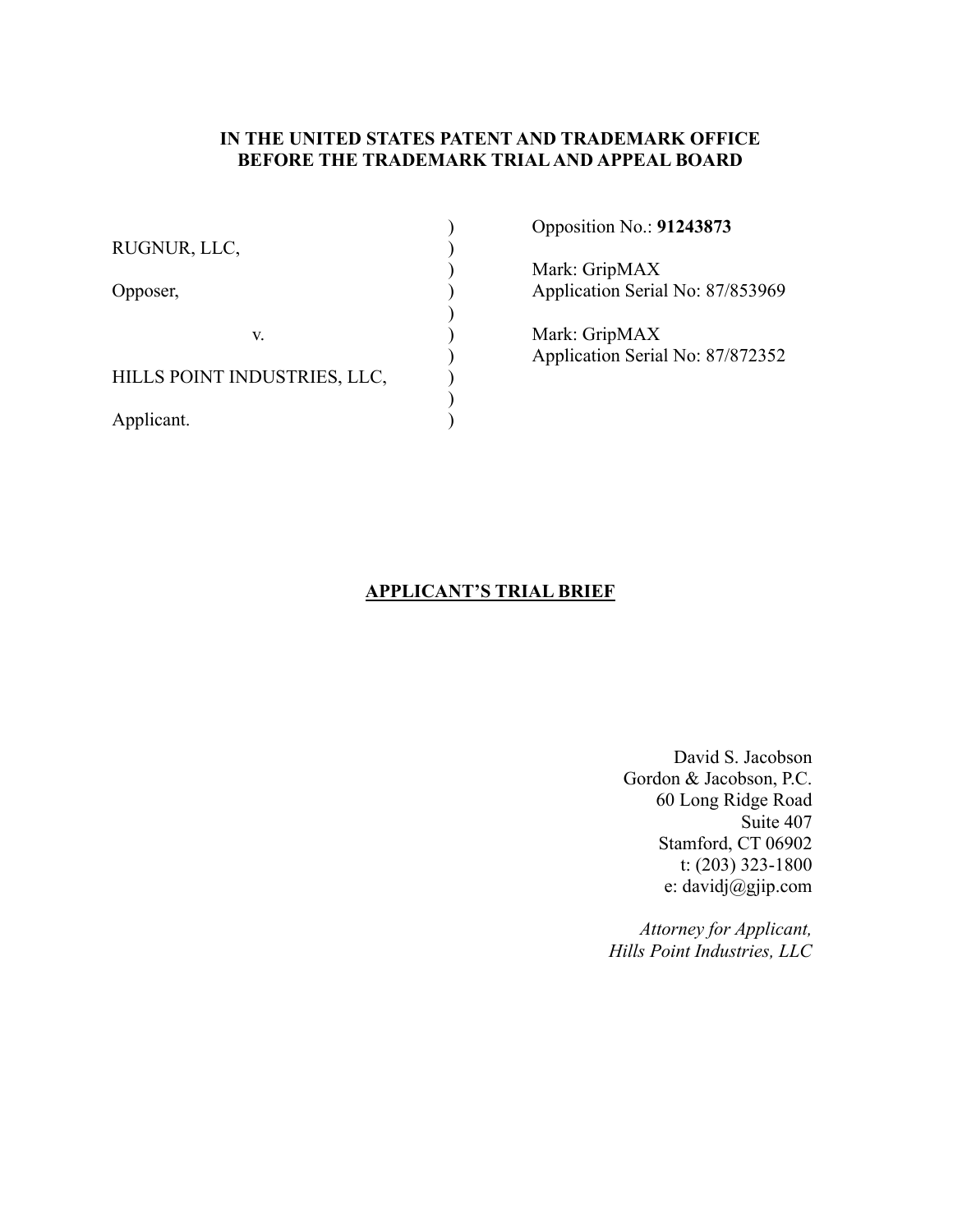### **IN THE UNITED STATES PATENT AND TRADEMARK OFFICE BEFORE THE TRADEMARK TRIAL AND APPEAL BOARD**

| RUGNUR, LLC,                 | Opposition No.: 91243873                          |
|------------------------------|---------------------------------------------------|
| Opposer,                     | Mark: GripMAX<br>Application Serial No: 87/853969 |
| V.                           | Mark: GripMAX<br>Application Serial No: 87/872352 |
| HILLS POINT INDUSTRIES, LLC, |                                                   |
| Applicant.                   |                                                   |

### **APPLICANT'S TRIAL BRIEF**

 David S. Jacobson Gordon & Jacobson, P.C. 60 Long Ridge Road Suite 407 Stamford, CT 06902 t: (203) 323-1800 e: davidj@gjip.com

*Attorney for Applicant, Hills Point Industries, LLC*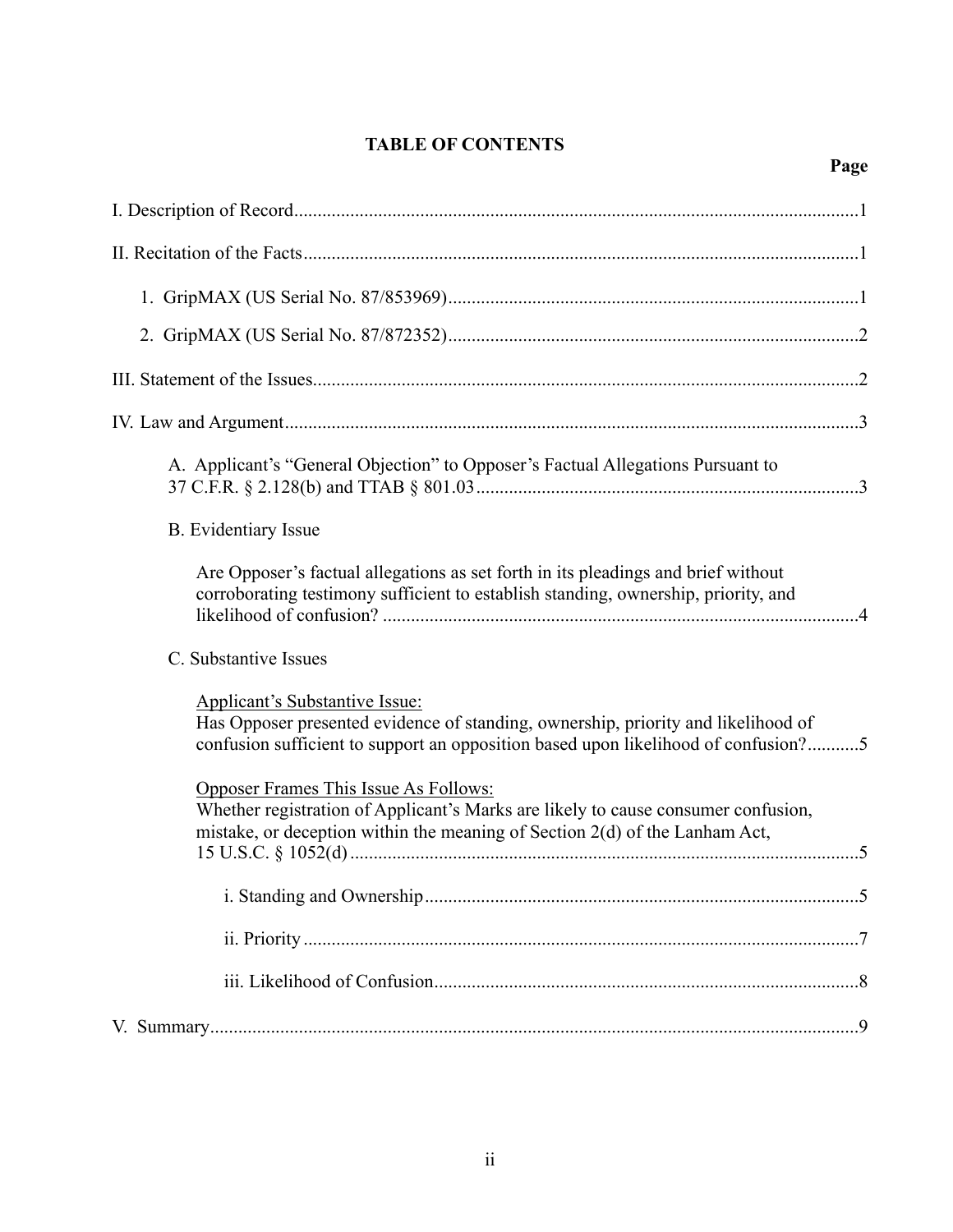## **TABLE OF CONTENTS**

| A. Applicant's "General Objection" to Opposer's Factual Allegations Pursuant to                                                                                                                                  |  |
|------------------------------------------------------------------------------------------------------------------------------------------------------------------------------------------------------------------|--|
| <b>B.</b> Evidentiary Issue                                                                                                                                                                                      |  |
| Are Opposer's factual allegations as set forth in its pleadings and brief without<br>corroborating testimony sufficient to establish standing, ownership, priority, and                                          |  |
| C. Substantive Issues                                                                                                                                                                                            |  |
| <b>Applicant's Substantive Issue:</b><br>Has Opposer presented evidence of standing, ownership, priority and likelihood of<br>confusion sufficient to support an opposition based upon likelihood of confusion?5 |  |
| Opposer Frames This Issue As Follows:<br>Whether registration of Applicant's Marks are likely to cause consumer confusion,<br>mistake, or deception within the meaning of Section 2(d) of the Lanham Act,        |  |
|                                                                                                                                                                                                                  |  |
|                                                                                                                                                                                                                  |  |
|                                                                                                                                                                                                                  |  |
|                                                                                                                                                                                                                  |  |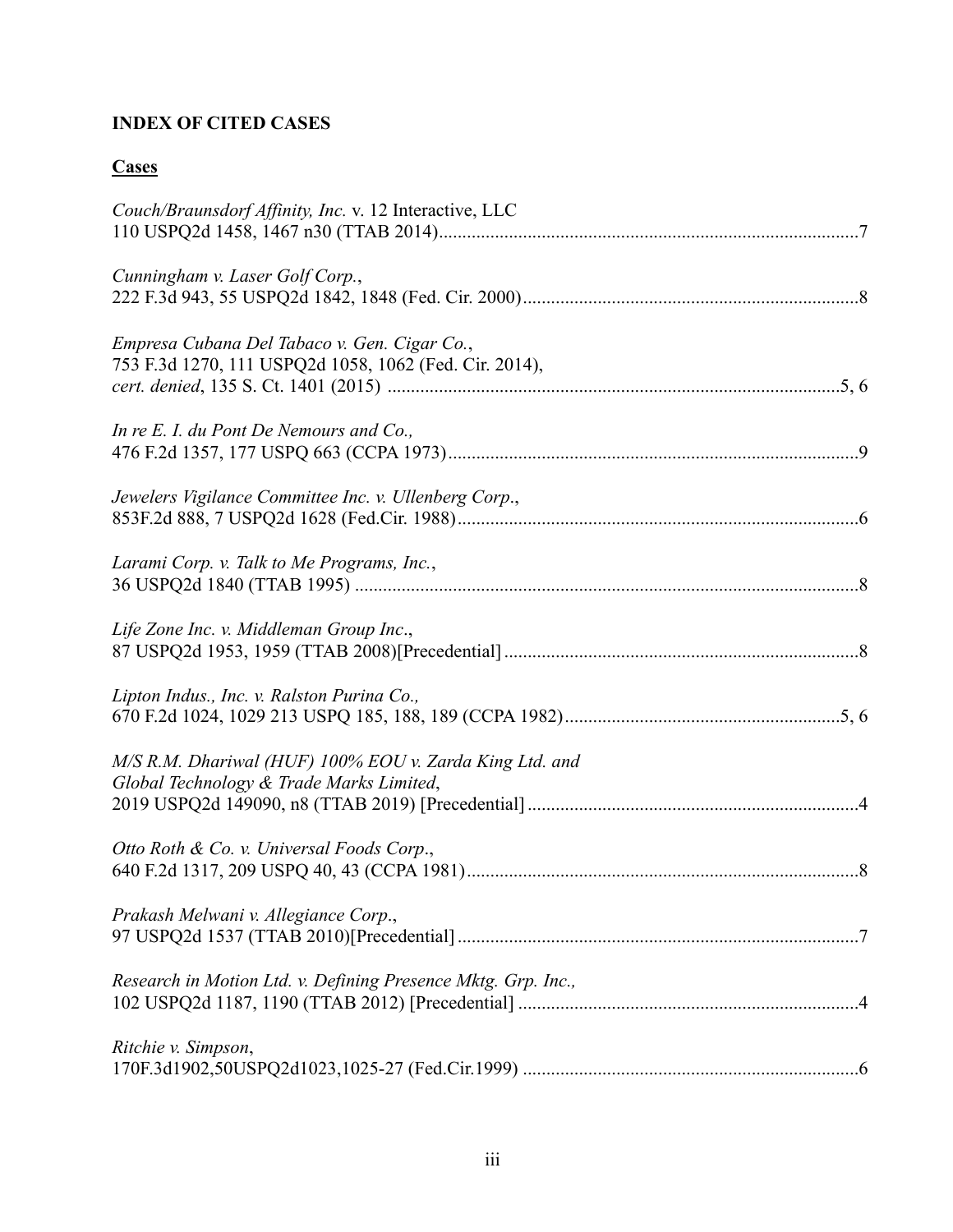# **INDEX OF CITED CASES**

# **Cases**

| Couch/Braunsdorf Affinity, Inc. v. 12 Interactive, LLC                                                 |
|--------------------------------------------------------------------------------------------------------|
| Cunningham v. Laser Golf Corp.,                                                                        |
| Empresa Cubana Del Tabaco v. Gen. Cigar Co.,<br>753 F.3d 1270, 111 USPQ2d 1058, 1062 (Fed. Cir. 2014), |
| In re E. I. du Pont De Nemours and Co.,                                                                |
| Jewelers Vigilance Committee Inc. v. Ullenberg Corp.,                                                  |
| Larami Corp. v. Talk to Me Programs, Inc.,                                                             |
| Life Zone Inc. v. Middleman Group Inc.,                                                                |
| Lipton Indus., Inc. v. Ralston Purina Co.,                                                             |
| M/S R.M. Dhariwal (HUF) 100% EOU v. Zarda King Ltd. and<br>Global Technology & Trade Marks Limited,    |
| Otto Roth & Co. v. Universal Foods Corp.,                                                              |
| Prakash Melwani v. Allegiance Corp.,                                                                   |
| Research in Motion Ltd. v. Defining Presence Mktg. Grp. Inc.,                                          |
| Ritchie v. Simpson,                                                                                    |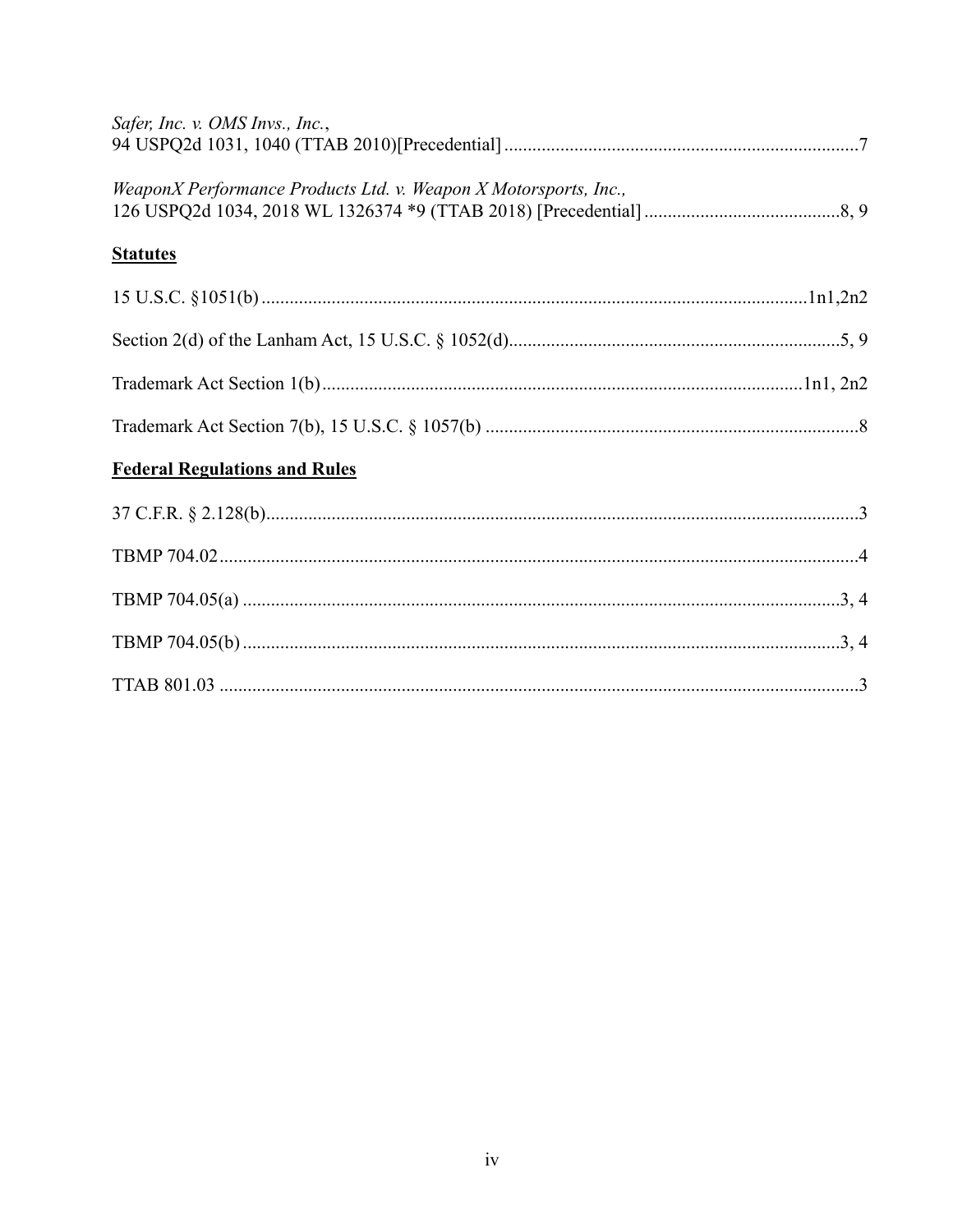| Safer, Inc. v. OMS Invs., Inc.,                                  |
|------------------------------------------------------------------|
| WeaponX Performance Products Ltd. v. Weapon X Motorsports, Inc., |
| <b>Statutes</b>                                                  |
|                                                                  |
|                                                                  |
|                                                                  |
|                                                                  |
| <b>Federal Regulations and Rules</b>                             |
|                                                                  |
|                                                                  |
|                                                                  |
|                                                                  |
|                                                                  |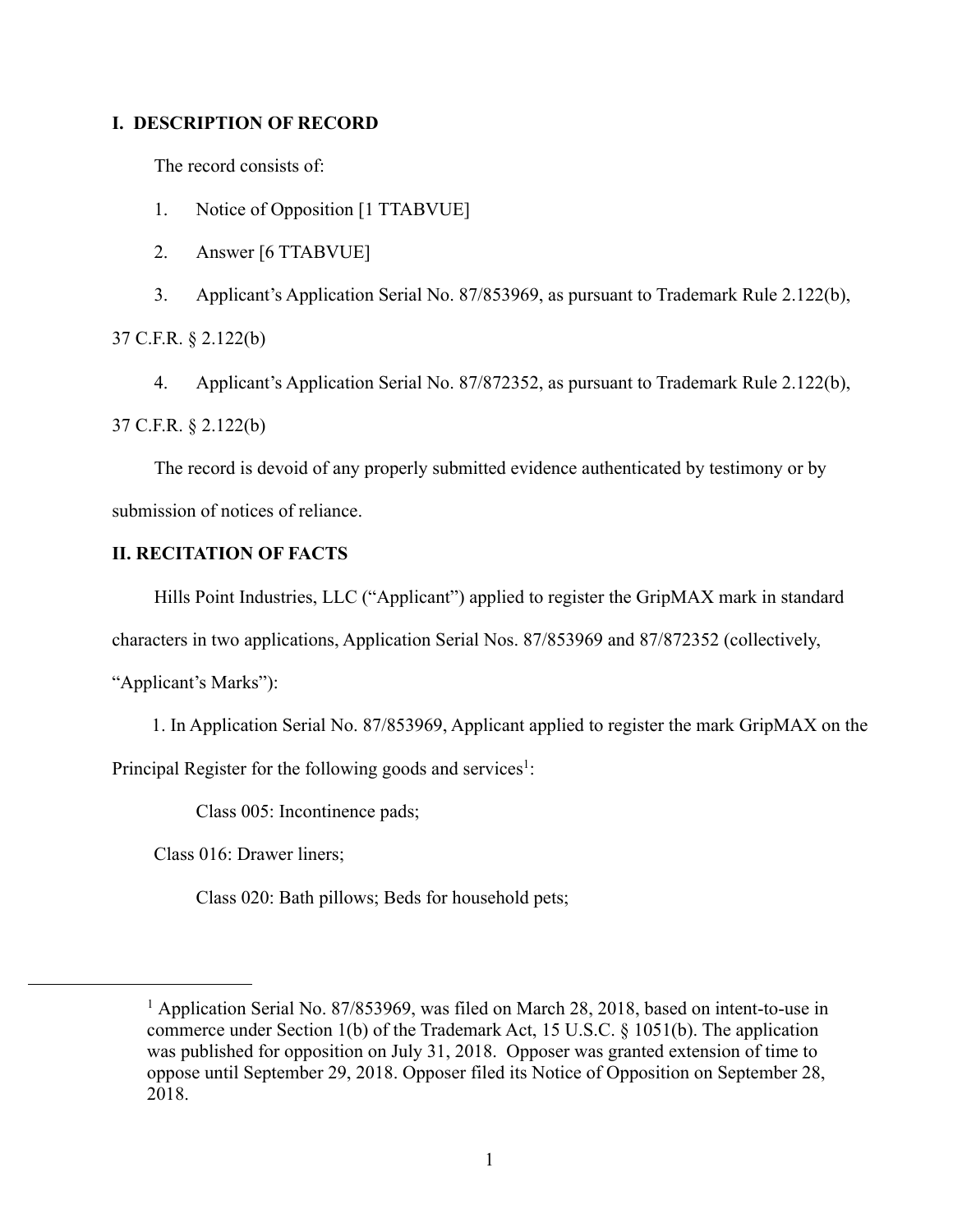### **I. DESCRIPTION OF RECORD**

The record consists of:

- 1. Notice of Opposition [1 TTABVUE]
- 2. Answer [6 TTABVUE]

3. Applicant's Application Serial No. 87/853969, as pursuant to Trademark Rule 2.122(b),

37 C.F.R. § 2.122(b)

 4. Applicant's Application Serial No. 87/872352, as pursuant to Trademark Rule 2.122(b), 37 C.F.R. § 2.122(b)

 The record is devoid of any properly submitted evidence authenticated by testimony or by submission of notices of reliance.

### **II. RECITATION OF FACTS**

Hills Point Industries, LLC ("Applicant") applied to register the GripMAX mark in standard

characters in two applications, Application Serial Nos. 87/853969 and 87/872352 (collectively,

"Applicant's Marks"):

1. In Application Serial No. 87/853969, Applicant applied to register the mark GripMAX on the

Principal Register for the following goods and services<sup>1</sup>:

Class 005: Incontinence pads;

Class 016: Drawer liners;

Class 020: Bath pillows; Beds for household pets;

<sup>&</sup>lt;sup>1</sup> Application Serial No. 87/853969, was filed on March 28, 2018, based on intent-to-use in commerce under Section 1(b) of the Trademark Act, 15 U.S.C. § 1051(b). The application was published for opposition on July 31, 2018. Opposer was granted extension of time to oppose until September 29, 2018. Opposer filed its Notice of Opposition on September 28, 2018.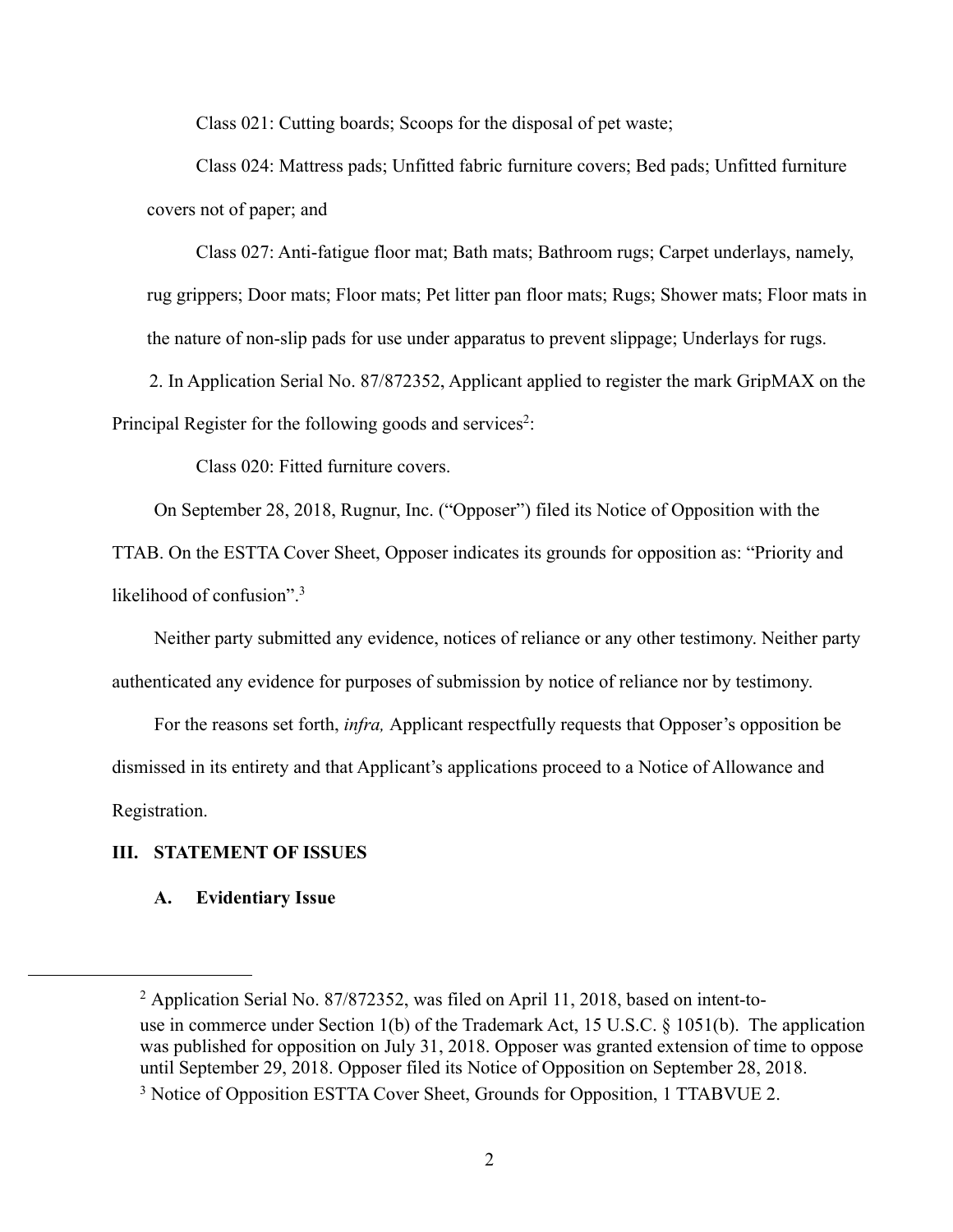Class 021: Cutting boards; Scoops for the disposal of pet waste;

 Class 024: Mattress pads; Unfitted fabric furniture covers; Bed pads; Unfitted furniture covers not of paper; and

 Class 027: Anti-fatigue floor mat; Bath mats; Bathroom rugs; Carpet underlays, namely, rug grippers; Door mats; Floor mats; Pet litter pan floor mats; Rugs; Shower mats; Floor mats in the nature of non-slip pads for use under apparatus to prevent slippage; Underlays for rugs.

 2. In Application Serial No. 87/872352, Applicant applied to register the mark GripMAX on the Principal Register for the following goods and services<sup>2</sup>:

Class 020: Fitted furniture covers.

On September 28, 2018, Rugnur, Inc. ("Opposer") filed its Notice of Opposition with the

TTAB. On the ESTTA Cover Sheet, Opposer indicates its grounds for opposition as: "Priority and likelihood of confusion".<sup>3</sup>

 Neither party submitted any evidence, notices of reliance or any other testimony. Neither party authenticated any evidence for purposes of submission by notice of reliance nor by testimony.

 For the reasons set forth, *infra,* Applicant respectfully requests that Opposer's opposition be dismissed in its entirety and that Applicant's applications proceed to a Notice of Allowance and Registration.

### **III. STATEMENT OF ISSUES**

### **A. Evidentiary Issue**

<sup>&</sup>lt;sup>2</sup> Application Serial No. 87/872352, was filed on April 11, 2018, based on intent-touse in commerce under Section 1(b) of the Trademark Act, 15 U.S.C. § 1051(b). The application was published for opposition on July 31, 2018. Opposer was granted extension of time to oppose until September 29, 2018. Opposer filed its Notice of Opposition on September 28, 2018.

<sup>&</sup>lt;sup>3</sup> Notice of Opposition ESTTA Cover Sheet, Grounds for Opposition, 1 TTABVUE 2.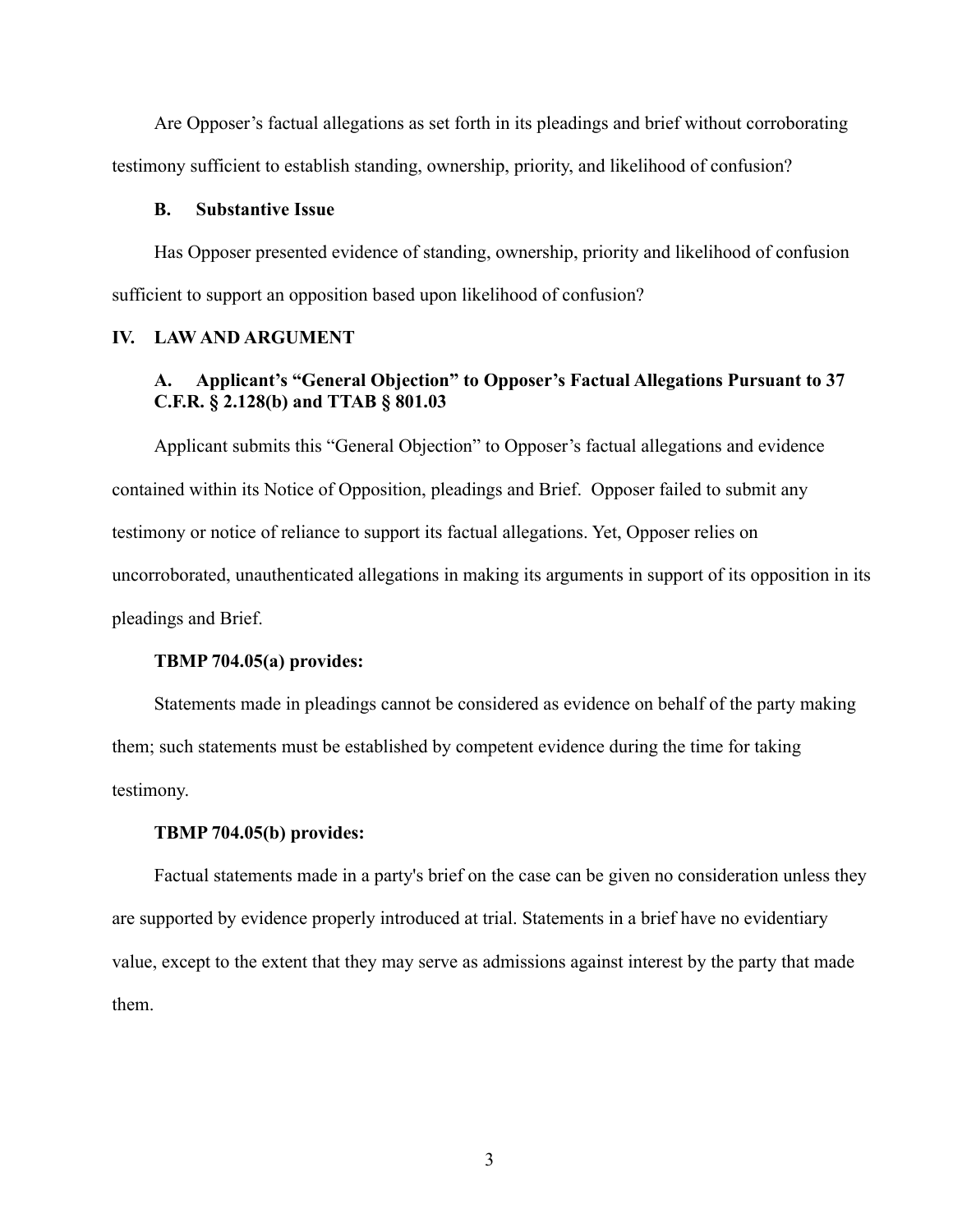Are Opposer's factual allegations as set forth in its pleadings and brief without corroborating testimony sufficient to establish standing, ownership, priority, and likelihood of confusion?

#### **B. Substantive Issue**

Has Opposer presented evidence of standing, ownership, priority and likelihood of confusion sufficient to support an opposition based upon likelihood of confusion?

### **IV. LAW AND ARGUMENT**

### **A. Applicant's "General Objection" to Opposer's Factual Allegations Pursuant to 37 C.F.R. § 2.128(b) and TTAB § 801.03**

 Applicant submits this "General Objection" to Opposer's factual allegations and evidence contained within its Notice of Opposition, pleadings and Brief. Opposer failed to submit any testimony or notice of reliance to support its factual allegations. Yet, Opposer relies on uncorroborated, unauthenticated allegations in making its arguments in support of its opposition in its pleadings and Brief.

### **TBMP 704.05(a) provides:**

 Statements made in pleadings cannot be considered as evidence on behalf of the party making them; such statements must be established by competent evidence during the time for taking testimony.

### **TBMP 704.05(b) provides:**

 Factual statements made in a party's brief on the case can be given no consideration unless they are supported by evidence properly introduced at trial. Statements in a brief have no evidentiary value, except to the extent that they may serve as admissions against interest by the party that made them.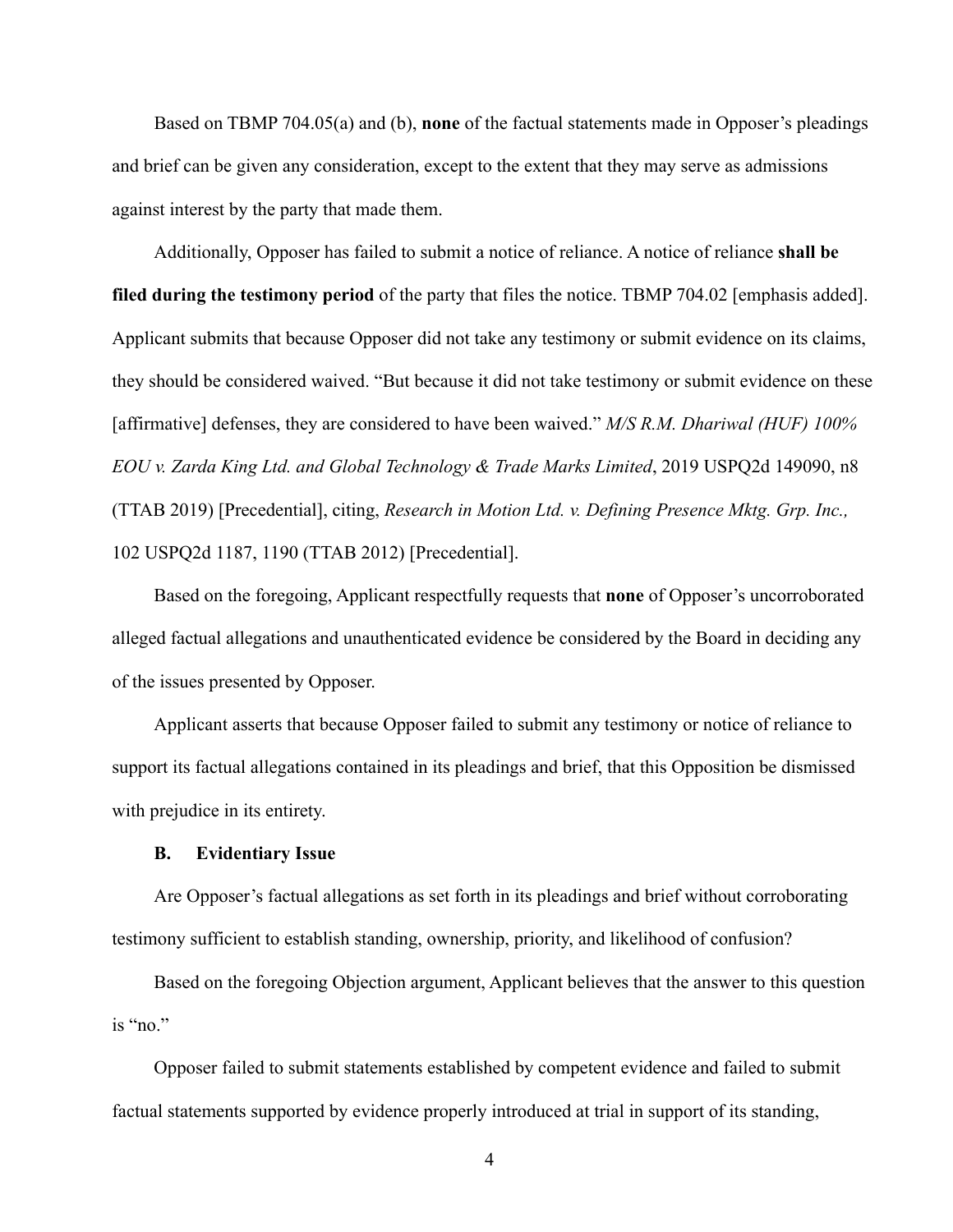Based on TBMP 704.05(a) and (b), **none** of the factual statements made in Opposer's pleadings and brief can be given any consideration, except to the extent that they may serve as admissions against interest by the party that made them.

 Additionally, Opposer has failed to submit a notice of reliance. A notice of reliance **shall be filed during the testimony period** of the party that files the notice. TBMP 704.02 [emphasis added]. Applicant submits that because Opposer did not take any testimony or submit evidence on its claims, they should be considered waived. "But because it did not take testimony or submit evidence on these [affirmative] defenses, they are considered to have been waived." *M/S R.M. Dhariwal (HUF) 100% EOU v. Zarda King Ltd. and Global Technology & Trade Marks Limited*, 2019 USPQ2d 149090, n8 (TTAB 2019) [Precedential], citing, *Research in Motion Ltd. v. Defining Presence Mktg. Grp. Inc.,*  102 USPQ2d 1187, 1190 (TTAB 2012) [Precedential].

 Based on the foregoing, Applicant respectfully requests that **none** of Opposer's uncorroborated alleged factual allegations and unauthenticated evidence be considered by the Board in deciding any of the issues presented by Opposer.

 Applicant asserts that because Opposer failed to submit any testimony or notice of reliance to support its factual allegations contained in its pleadings and brief, that this Opposition be dismissed with prejudice in its entirety.

#### **B. Evidentiary Issue**

 Are Opposer's factual allegations as set forth in its pleadings and brief without corroborating testimony sufficient to establish standing, ownership, priority, and likelihood of confusion?

 Based on the foregoing Objection argument, Applicant believes that the answer to this question is "no."

 Opposer failed to submit statements established by competent evidence and failed to submit factual statements supported by evidence properly introduced at trial in support of its standing,

4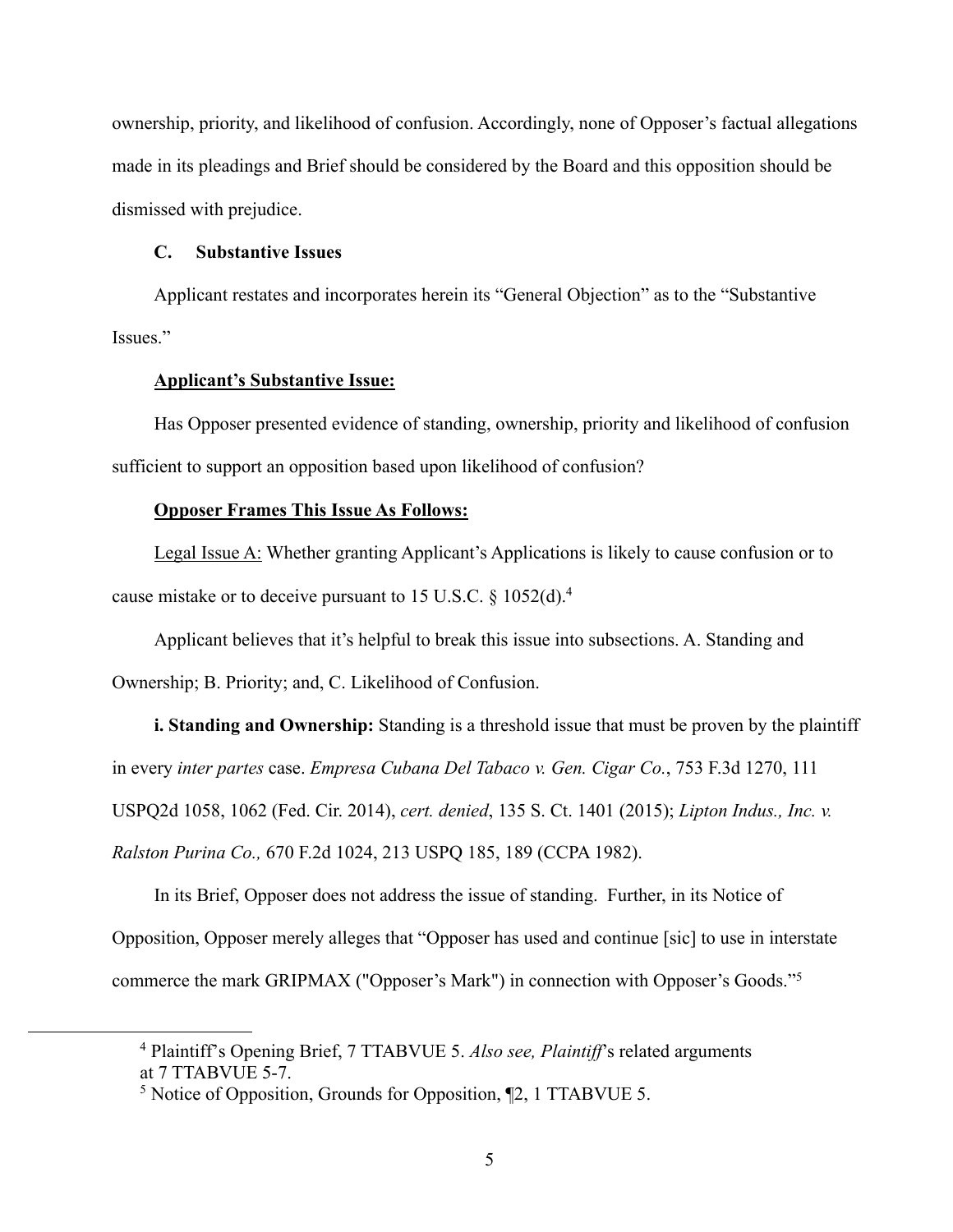ownership, priority, and likelihood of confusion. Accordingly, none of Opposer's factual allegations made in its pleadings and Brief should be considered by the Board and this opposition should be dismissed with prejudice.

#### **C. Substantive Issues**

 Applicant restates and incorporates herein its "General Objection" as to the "Substantive Issues."

### **Applicant's Substantive Issue:**

Has Opposer presented evidence of standing, ownership, priority and likelihood of confusion sufficient to support an opposition based upon likelihood of confusion?

### **Opposer Frames This Issue As Follows:**

Legal Issue A: Whether granting Applicant's Applications is likely to cause confusion or to cause mistake or to deceive pursuant to 15 U.S.C. § 1052(d).<sup>4</sup>

Applicant believes that it's helpful to break this issue into subsections. A. Standing and Ownership; B. Priority; and, C. Likelihood of Confusion.

**i. Standing and Ownership:** Standing is a threshold issue that must be proven by the plaintiff in every *inter partes* case. *Empresa Cubana Del Tabaco v. Gen. Cigar Co.*, 753 F.3d 1270, 111 USPQ2d 1058, 1062 (Fed. Cir. 2014), *cert. denied*, 135 S. Ct. 1401 (2015); *Lipton Indus., Inc. v. Ralston Purina Co.,* 670 F.2d 1024, 213 USPQ 185, 189 (CCPA 1982).

In its Brief, Opposer does not address the issue of standing. Further, in its Notice of Opposition, Opposer merely alleges that "Opposer has used and continue [sic] to use in interstate commerce the mark GRIPMAX ("Opposer's Mark") in connection with Opposer's Goods."<sup>5</sup>

<sup>4</sup> Plaintiff's Opening Brief, 7 TTABVUE 5. *Also see, Plaintiff*'s related arguments at 7 TTABVUE 5-7.

<sup>&</sup>lt;sup>5</sup> Notice of Opposition, Grounds for Opposition, [2, 1 TTABVUE 5.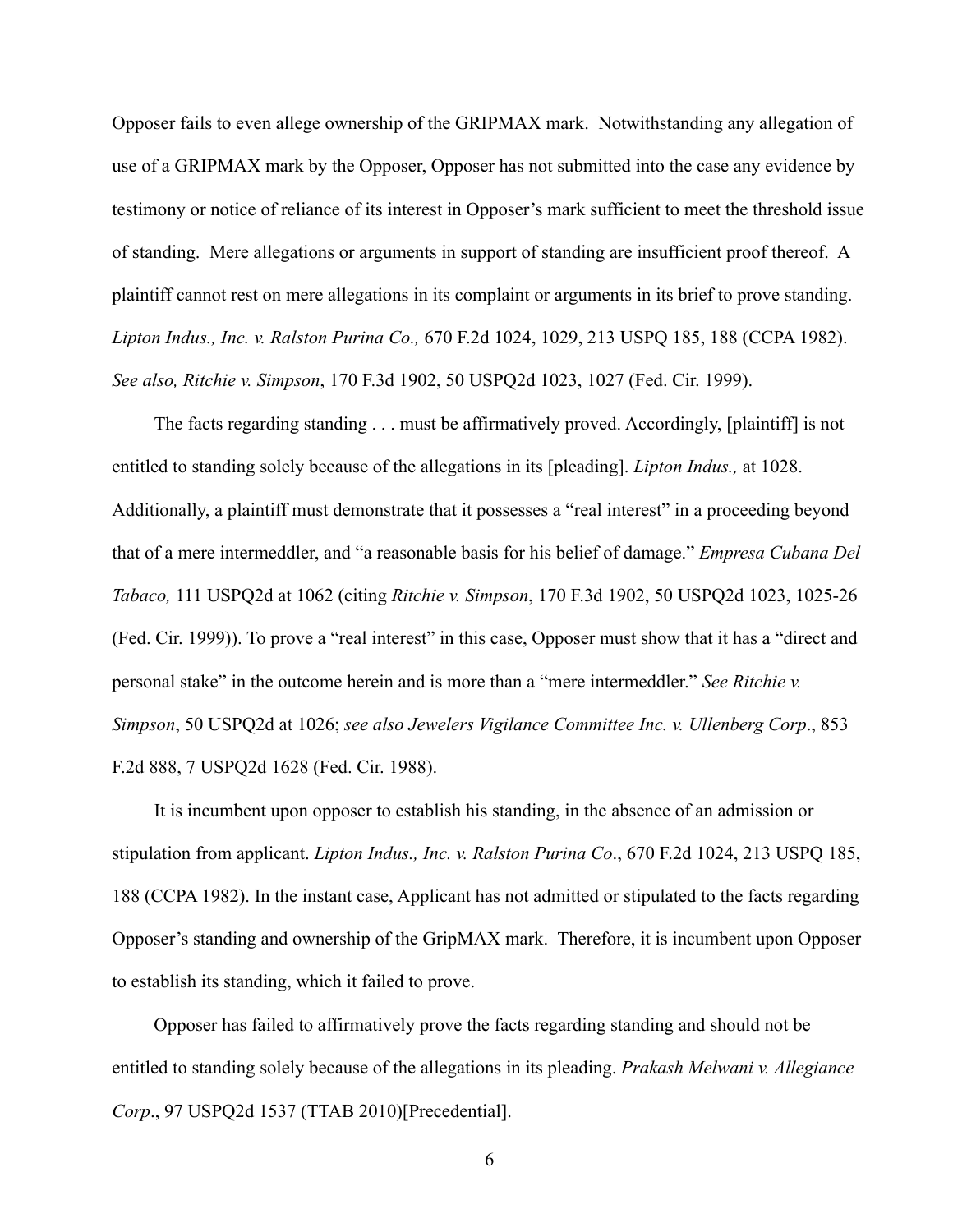Opposer fails to even allege ownership of the GRIPMAX mark. Notwithstanding any allegation of use of a GRIPMAX mark by the Opposer, Opposer has not submitted into the case any evidence by testimony or notice of reliance of its interest in Opposer's mark sufficient to meet the threshold issue of standing. Mere allegations or arguments in support of standing are insufficient proof thereof. A plaintiff cannot rest on mere allegations in its complaint or arguments in its brief to prove standing. *Lipton Indus., Inc. v. Ralston Purina Co.,* 670 F.2d 1024, 1029, 213 USPQ 185, 188 (CCPA 1982). *See also, Ritchie v. Simpson*, 170 F.3d 1902, 50 USPQ2d 1023, 1027 (Fed. Cir. 1999).

The facts regarding standing . . . must be affirmatively proved. Accordingly, [plaintiff] is not entitled to standing solely because of the allegations in its [pleading]. *Lipton Indus.,* at 1028. Additionally, a plaintiff must demonstrate that it possesses a "real interest" in a proceeding beyond that of a mere intermeddler, and "a reasonable basis for his belief of damage." *Empresa Cubana Del Tabaco,* 111 USPQ2d at 1062 (citing *Ritchie v. Simpson*, 170 F.3d 1902, 50 USPQ2d 1023, 1025-26 (Fed. Cir. 1999)). To prove a "real interest" in this case, Opposer must show that it has a "direct and personal stake" in the outcome herein and is more than a "mere intermeddler." *See Ritchie v. Simpson*, 50 USPQ2d at 1026; *see also Jewelers Vigilance Committee Inc. v. Ullenberg Corp*., 853 F.2d 888, 7 USPQ2d 1628 (Fed. Cir. 1988).

It is incumbent upon opposer to establish his standing, in the absence of an admission or stipulation from applicant. *Lipton Indus., Inc. v. Ralston Purina Co*., 670 F.2d 1024, 213 USPQ 185, 188 (CCPA 1982). In the instant case, Applicant has not admitted or stipulated to the facts regarding Opposer's standing and ownership of the GripMAX mark. Therefore, it is incumbent upon Opposer to establish its standing, which it failed to prove.

Opposer has failed to affirmatively prove the facts regarding standing and should not be entitled to standing solely because of the allegations in its pleading. *Prakash Melwani v. Allegiance Corp*., 97 USPQ2d 1537 (TTAB 2010)[Precedential].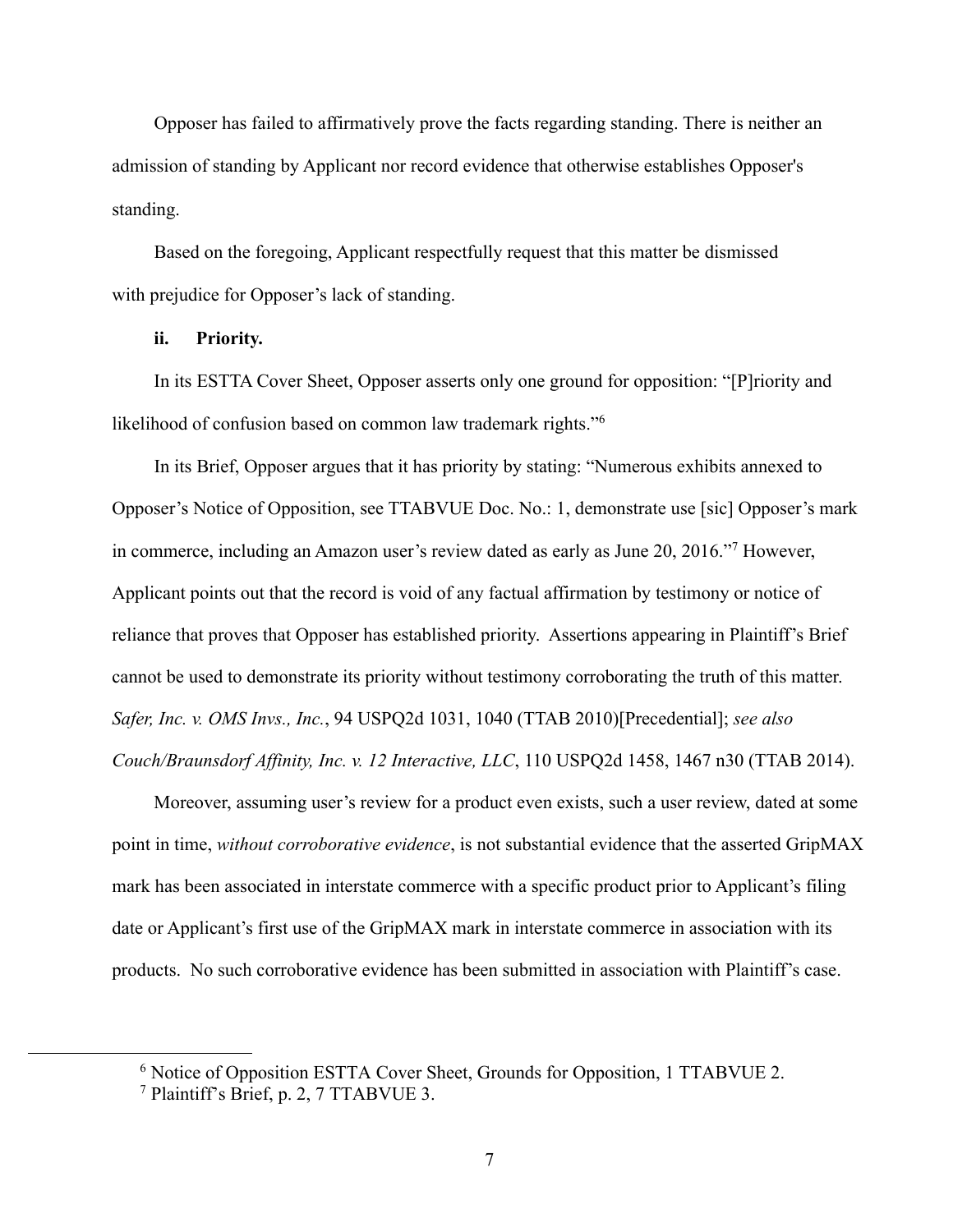Opposer has failed to affirmatively prove the facts regarding standing. There is neither an admission of standing by Applicant nor record evidence that otherwise establishes Opposer's standing.

 Based on the foregoing, Applicant respectfully request that this matter be dismissed with prejudice for Opposer's lack of standing.

### **ii. Priority.**

 In its ESTTA Cover Sheet, Opposer asserts only one ground for opposition: "[P]riority and likelihood of confusion based on common law trademark rights."<sup>6</sup>

In its Brief, Opposer argues that it has priority by stating: "Numerous exhibits annexed to Opposer's Notice of Opposition, see TTABVUE Doc. No.: 1, demonstrate use [sic] Opposer's mark in commerce, including an Amazon user's review dated as early as June 20, 2016."<sup>7</sup> However, Applicant points out that the record is void of any factual affirmation by testimony or notice of reliance that proves that Opposer has established priority. Assertions appearing in Plaintiff's Brief cannot be used to demonstrate its priority without testimony corroborating the truth of this matter. *Safer, Inc. v. OMS Invs., Inc.*, 94 USPQ2d 1031, 1040 (TTAB 2010)[Precedential]; *see also Couch/Braunsdorf Affinity, Inc. v. 12 Interactive, LLC*, 110 USPQ2d 1458, 1467 n30 (TTAB 2014).

Moreover, assuming user's review for a product even exists, such a user review, dated at some point in time, *without corroborative evidence*, is not substantial evidence that the asserted GripMAX mark has been associated in interstate commerce with a specific product prior to Applicant's filing date or Applicant's first use of the GripMAX mark in interstate commerce in association with its products. No such corroborative evidence has been submitted in association with Plaintiff's case.

<sup>&</sup>lt;sup>6</sup> Notice of Opposition ESTTA Cover Sheet, Grounds for Opposition, 1 TTABVUE 2.

<sup>7</sup> Plaintiff's Brief, p. 2, 7 TTABVUE 3.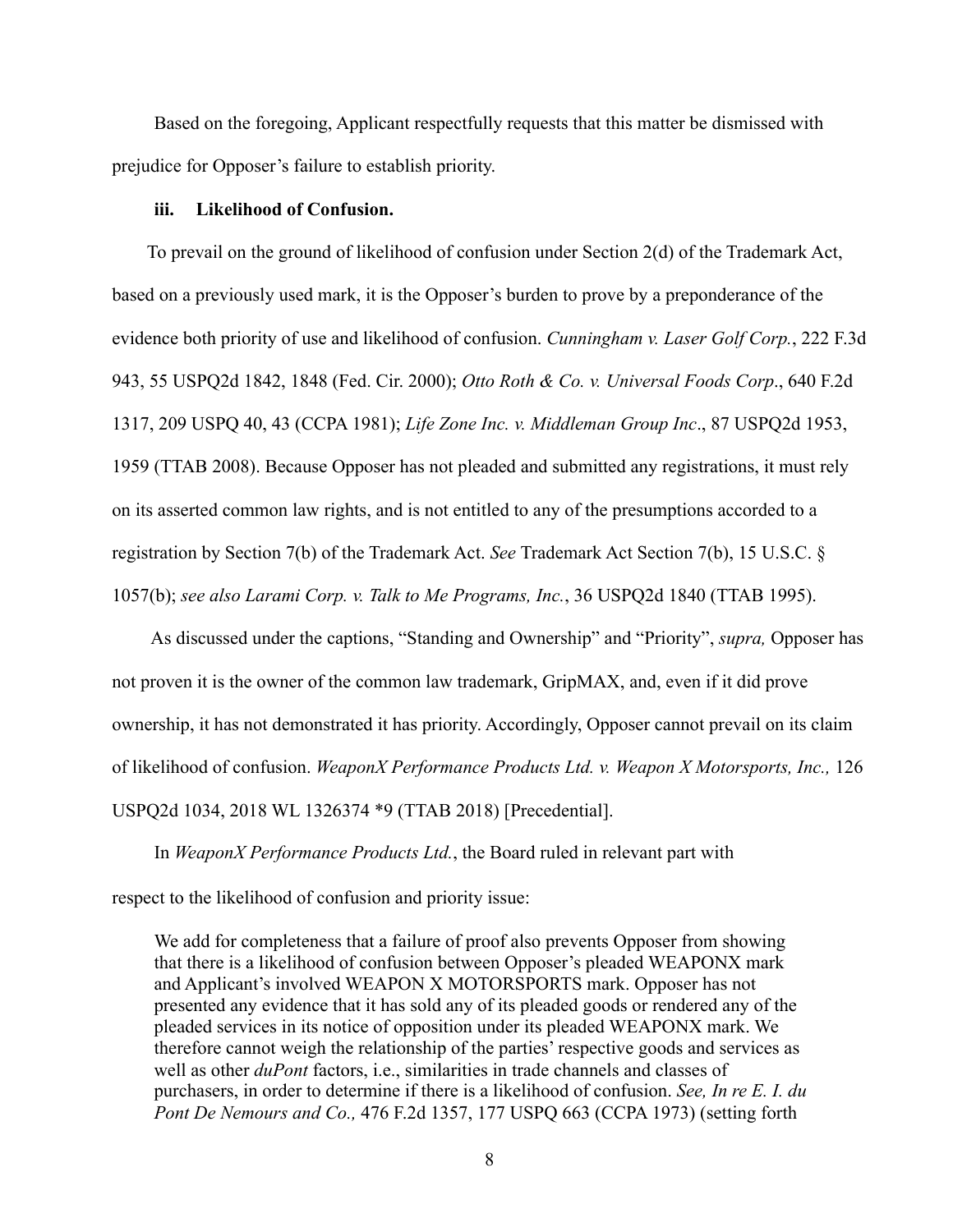Based on the foregoing, Applicant respectfully requests that this matter be dismissed with prejudice for Opposer's failure to establish priority.

#### **iii. Likelihood of Confusion.**

To prevail on the ground of likelihood of confusion under Section 2(d) of the Trademark Act, based on a previously used mark, it is the Opposer's burden to prove by a preponderance of the evidence both priority of use and likelihood of confusion. *Cunningham v. Laser Golf Corp.*, 222 F.3d 943, 55 USPQ2d 1842, 1848 (Fed. Cir. 2000); *Otto Roth & Co. v. Universal Foods Corp*., 640 F.2d 1317, 209 USPQ 40, 43 (CCPA 1981); *Life Zone Inc. v. Middleman Group Inc*., 87 USPQ2d 1953, 1959 (TTAB 2008). Because Opposer has not pleaded and submitted any registrations, it must rely on its asserted common law rights, and is not entitled to any of the presumptions accorded to a registration by Section 7(b) of the Trademark Act. *See* Trademark Act Section 7(b), 15 U.S.C. § 1057(b); *see also Larami Corp. v. Talk to Me Programs, Inc.*, 36 USPQ2d 1840 (TTAB 1995).

 As discussed under the captions, "Standing and Ownership" and "Priority", *supra,* Opposer has not proven it is the owner of the common law trademark, GripMAX, and, even if it did prove ownership, it has not demonstrated it has priority. Accordingly, Opposer cannot prevail on its claim of likelihood of confusion. *WeaponX Performance Products Ltd. v. Weapon X Motorsports, Inc.,* 126 USPQ2d 1034, 2018 WL 1326374 \*9 (TTAB 2018) [Precedential].

 In *WeaponX Performance Products Ltd.*, the Board ruled in relevant part with respect to the likelihood of confusion and priority issue:

We add for completeness that a failure of proof also prevents Opposer from showing that there is a likelihood of confusion between Opposer's pleaded WEAPONX mark and Applicant's involved WEAPON X MOTORSPORTS mark. Opposer has not presented any evidence that it has sold any of its pleaded goods or rendered any of the pleaded services in its notice of opposition under its pleaded WEAPONX mark. We therefore cannot weigh the relationship of the parties' respective goods and services as well as other *duPont* factors, i.e., similarities in trade channels and classes of purchasers, in order to determine if there is a likelihood of confusion. *See, In re E. I. du Pont De Nemours and Co.,* 476 F.2d 1357, 177 USPQ 663 (CCPA 1973) (setting forth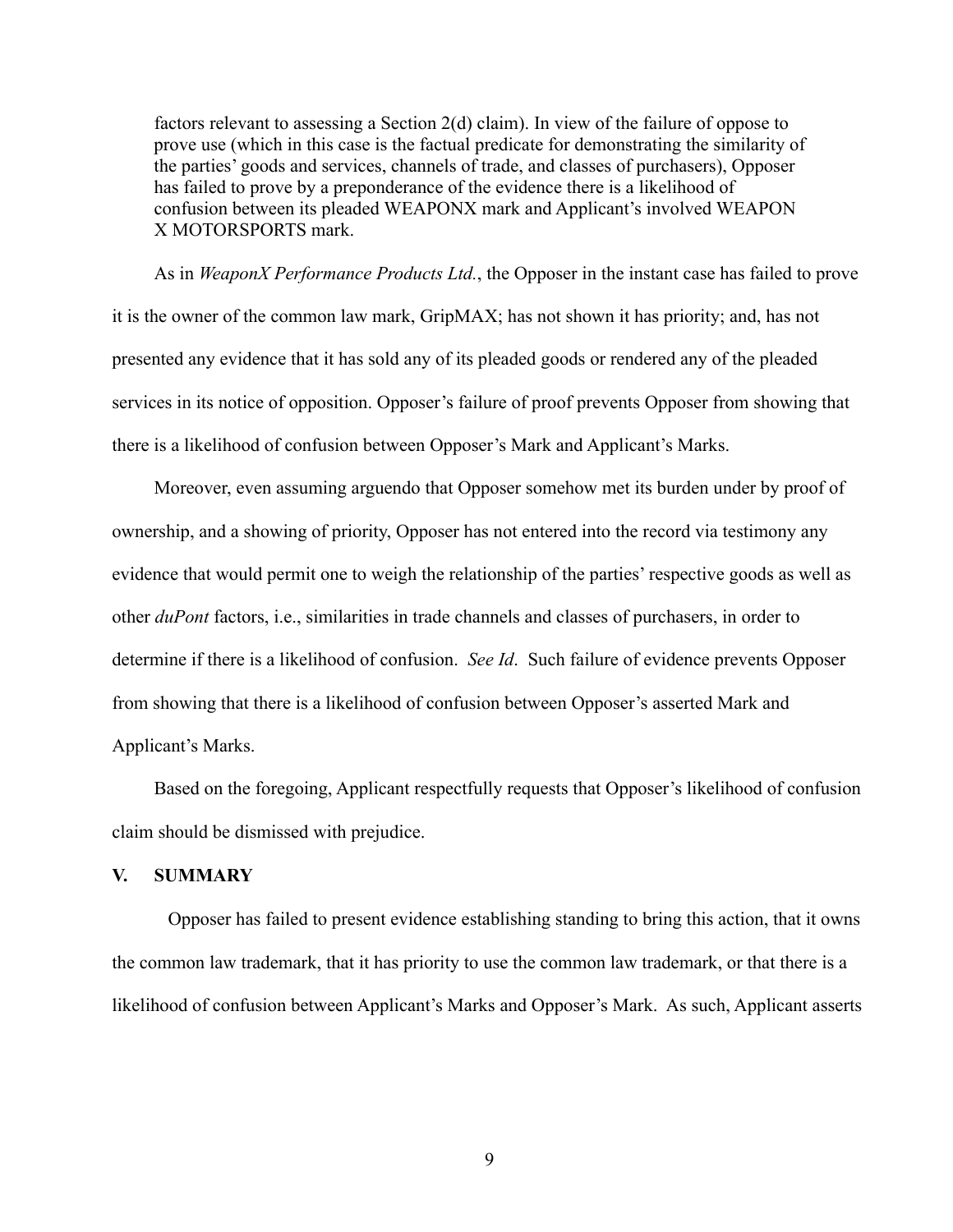factors relevant to assessing a Section 2(d) claim). In view of the failure of oppose to prove use (which in this case is the factual predicate for demonstrating the similarity of the parties' goods and services, channels of trade, and classes of purchasers), Opposer has failed to prove by a preponderance of the evidence there is a likelihood of confusion between its pleaded WEAPONX mark and Applicant's involved WEAPON X MOTORSPORTS mark.

As in *WeaponX Performance Products Ltd.*, the Opposer in the instant case has failed to prove it is the owner of the common law mark, GripMAX; has not shown it has priority; and, has not presented any evidence that it has sold any of its pleaded goods or rendered any of the pleaded services in its notice of opposition. Opposer's failure of proof prevents Opposer from showing that there is a likelihood of confusion between Opposer's Mark and Applicant's Marks.

Moreover, even assuming arguendo that Opposer somehow met its burden under by proof of ownership, and a showing of priority, Opposer has not entered into the record via testimony any evidence that would permit one to weigh the relationship of the parties' respective goods as well as other *duPont* factors, i.e., similarities in trade channels and classes of purchasers, in order to determine if there is a likelihood of confusion. *See Id*. Such failure of evidence prevents Opposer from showing that there is a likelihood of confusion between Opposer's asserted Mark and Applicant's Marks.

 Based on the foregoing, Applicant respectfully requests that Opposer's likelihood of confusion claim should be dismissed with prejudice.

### **V. SUMMARY**

Opposer has failed to present evidence establishing standing to bring this action, that it owns the common law trademark, that it has priority to use the common law trademark, or that there is a likelihood of confusion between Applicant's Marks and Opposer's Mark. As such, Applicant asserts

9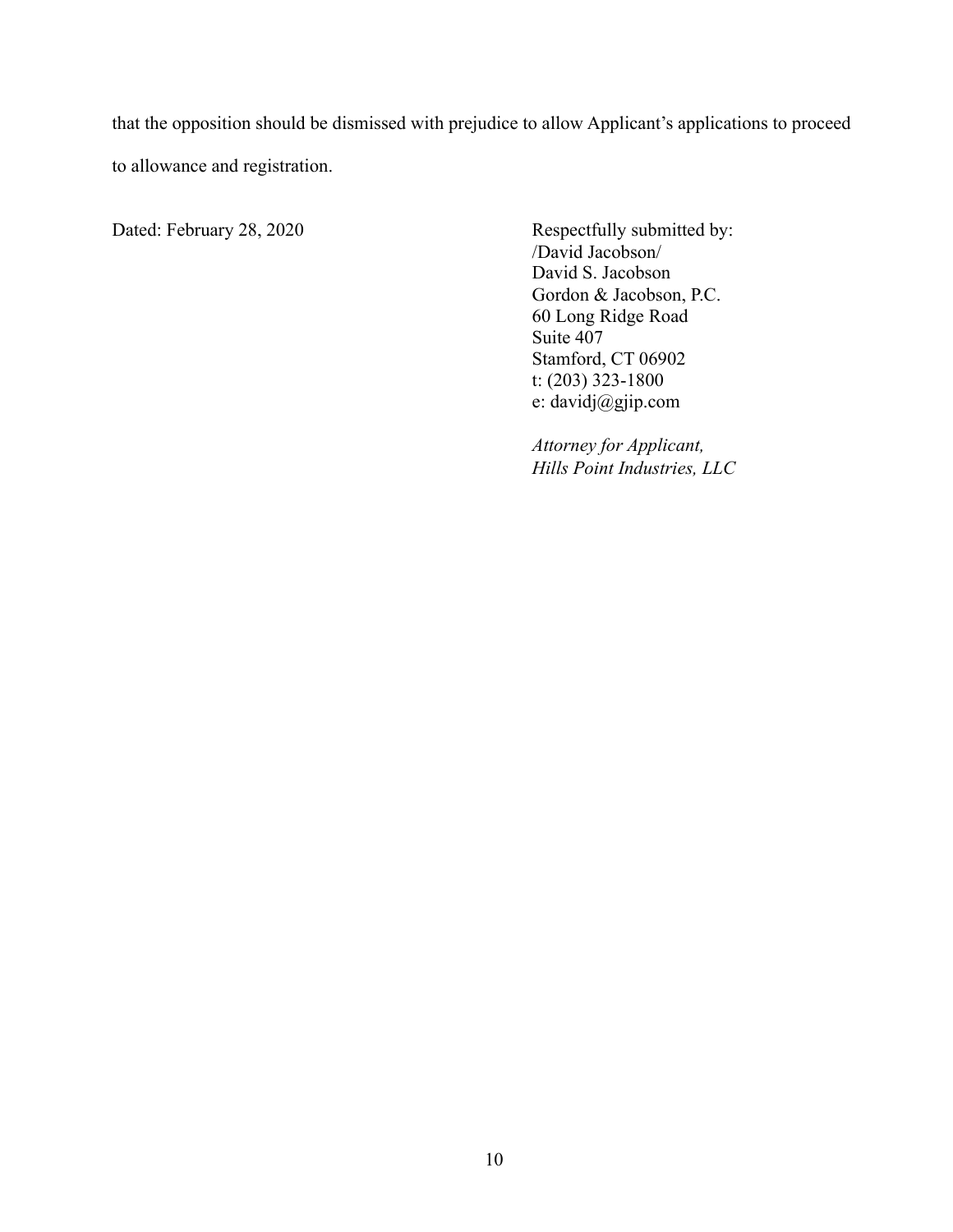that the opposition should be dismissed with prejudice to allow Applicant's applications to proceed to allowance and registration.

Dated: February 28, 2020 Respectfully submitted by:

 /David Jacobson/ David S. Jacobson Gordon & Jacobson, P.C. 60 Long Ridge Road Suite 407 Stamford, CT 06902 t: (203) 323-1800 e: davidj@gjip.com

 *Attorney for Applicant, Hills Point Industries, LLC*